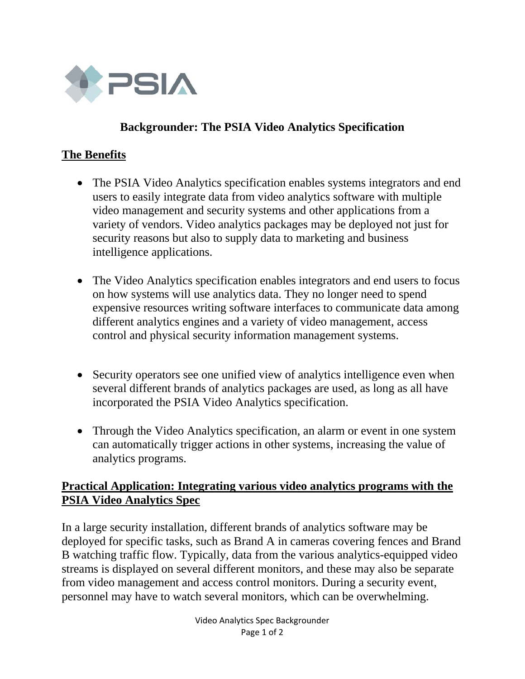

### **Backgrounder: The PSIA Video Analytics Specification**

#### **The Benefits**

- The PSIA Video Analytics specification enables systems integrators and end users to easily integrate data from video analytics software with multiple video management and security systems and other applications from a variety of vendors. Video analytics packages may be deployed not just for security reasons but also to supply data to marketing and business intelligence applications.
- The Video Analytics specification enables integrators and end users to focus on how systems will use analytics data. They no longer need to spend expensive resources writing software interfaces to communicate data among different analytics engines and a variety of video management, access control and physical security information management systems.
- Security operators see one unified view of analytics intelligence even when several different brands of analytics packages are used, as long as all have incorporated the PSIA Video Analytics specification.
- Through the Video Analytics specification, an alarm or event in one system can automatically trigger actions in other systems, increasing the value of analytics programs.

#### **Practical Application: Integrating various video analytics programs with the PSIA Video Analytics Spec**

In a large security installation, different brands of analytics software may be deployed for specific tasks, such as Brand A in cameras covering fences and Brand B watching traffic flow. Typically, data from the various analytics-equipped video streams is displayed on several different monitors, and these may also be separate from video management and access control monitors. During a security event, personnel may have to watch several monitors, which can be overwhelming.